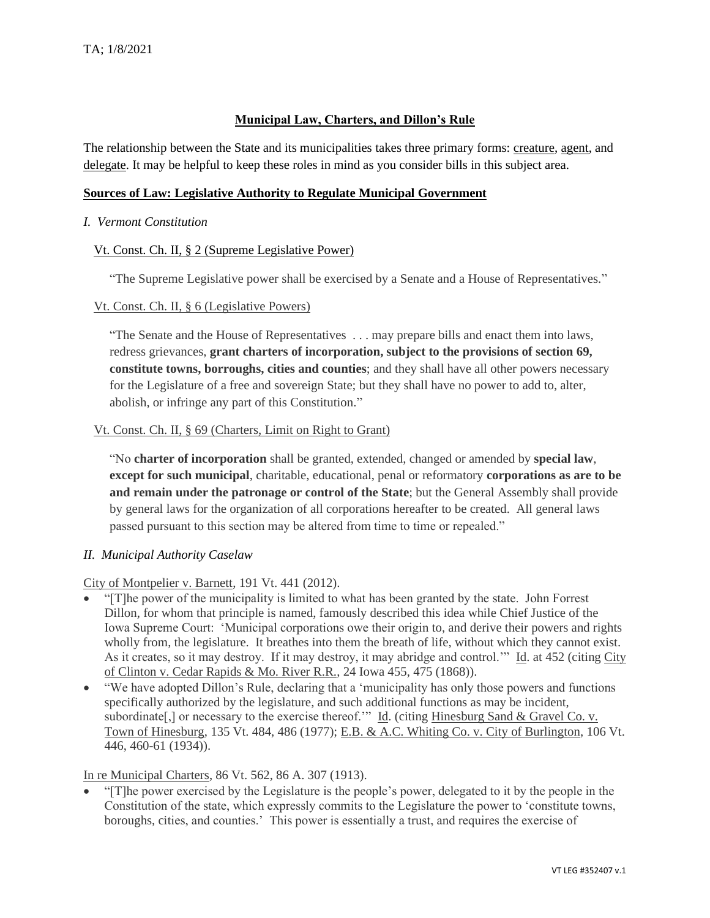### **Municipal Law, Charters, and Dillon's Rule**

The relationship between the State and its municipalities takes three primary forms: creature, agent, and delegate. It may be helpful to keep these roles in mind as you consider bills in this subject area.

#### **Sources of Law: Legislative Authority to Regulate Municipal Government**

#### *I. Vermont Constitution*

#### Vt. Const. Ch. II, § 2 (Supreme Legislative Power)

"The Supreme Legislative power shall be exercised by a Senate and a House of Representatives."

#### Vt. Const. Ch. II, § 6 (Legislative Powers)

"The Senate and the House of Representatives . . . may prepare bills and enact them into laws, redress grievances, **grant charters of incorporation, subject to the provisions of section 69, constitute towns, borroughs, cities and counties**; and they shall have all other powers necessary for the Legislature of a free and sovereign State; but they shall have no power to add to, alter, abolish, or infringe any part of this Constitution."

#### Vt. Const. Ch. II, § 69 (Charters, Limit on Right to Grant)

"No **charter of incorporation** shall be granted, extended, changed or amended by **special law**, **except for such municipal**, charitable, educational, penal or reformatory **corporations as are to be and remain under the patronage or control of the State**; but the General Assembly shall provide by general laws for the organization of all corporations hereafter to be created. All general laws passed pursuant to this section may be altered from time to time or repealed."

## *II. Municipal Authority Caselaw*

City of Montpelier v. Barnett, 191 Vt. 441 (2012).

- "[T]he power of the municipality is limited to what has been granted by the state. John Forrest Dillon, for whom that principle is named, famously described this idea while Chief Justice of the Iowa Supreme Court: 'Municipal corporations owe their origin to, and derive their powers and rights wholly from, the legislature. It breathes into them the breath of life, without which they cannot exist. As it creates, so it may destroy. If it may destroy, it may abridge and control.'" Id. at 452 (citing City of Clinton v. Cedar Rapids & Mo. River R.R., 24 Iowa 455, 475 (1868)).
- "We have adopted Dillon's Rule, declaring that a 'municipality has only those powers and functions specifically authorized by the legislature, and such additional functions as may be incident, subordinate<sup>[,]</sup> or necessary to the exercise thereof.'" Id. (citing Hinesburg Sand & Gravel Co. v. Town of Hinesburg, 135 Vt. 484, 486 (1977); E.B. & A.C. Whiting Co. v. City of Burlington, 106 Vt. 446, 460-61 (1934)).

## In re Municipal Charters, 86 Vt. 562, 86 A. 307 (1913).

• "[T]he power exercised by the Legislature is the people's power, delegated to it by the people in the Constitution of the state, which expressly commits to the Legislature the power to 'constitute towns, boroughs, cities, and counties.' This power is essentially a trust, and requires the exercise of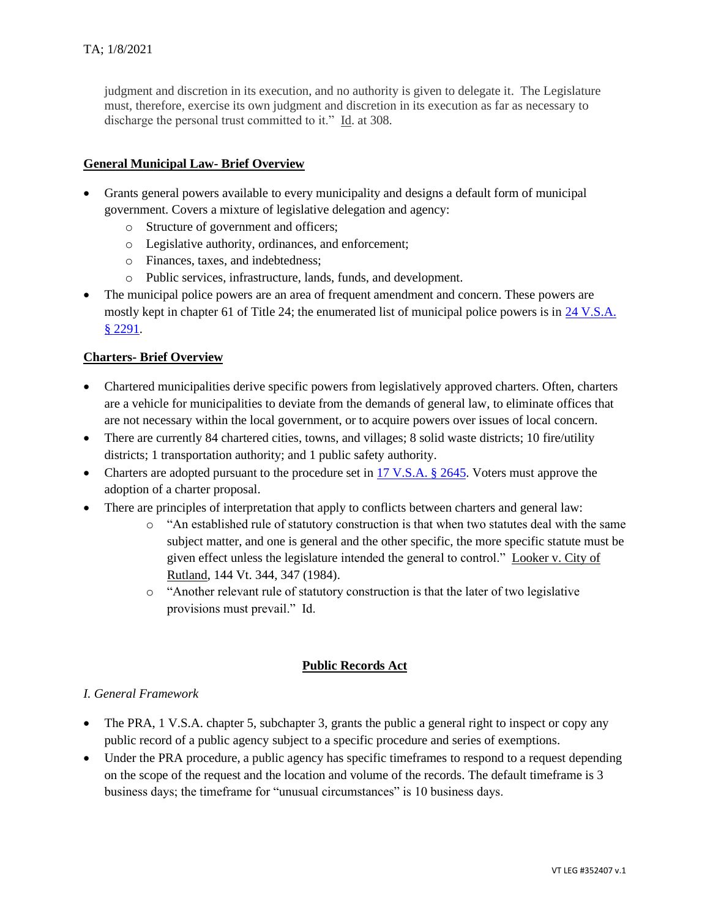judgment and discretion in its execution, and no authority is given to delegate it. The Legislature must, therefore, exercise its own judgment and discretion in its execution as far as necessary to discharge the personal trust committed to it." Id. at 308.

## **General Municipal Law- Brief Overview**

- Grants general powers available to every municipality and designs a default form of municipal government. Covers a mixture of legislative delegation and agency:
	- o Structure of government and officers;
	- o Legislative authority, ordinances, and enforcement;
	- o Finances, taxes, and indebtedness;
	- o Public services, infrastructure, lands, funds, and development.
- The municipal police powers are an area of frequent amendment and concern. These powers are mostly kept in chapter 61 of Title 24; the enumerated list of municipal police powers is in 24 V.S.A. § [2291.](https://legislature.vermont.gov/statutes/section/24/061/02291)

## **Charters- Brief Overview**

- Chartered municipalities derive specific powers from legislatively approved charters. Often, charters are a vehicle for municipalities to deviate from the demands of general law, to eliminate offices that are not necessary within the local government, or to acquire powers over issues of local concern.
- There are currently 84 chartered cities, towns, and villages; 8 solid waste districts; 10 fire/utility districts; 1 transportation authority; and 1 public safety authority.
- Charters are adopted pursuant to the procedure set in [17 V.S.A. §](https://legislature.vermont.gov/statutes/section/17/055/02645) 2645. Voters must approve the adoption of a charter proposal.
- There are principles of interpretation that apply to conflicts between charters and general law:
	- o "An established rule of statutory construction is that when two statutes deal with the same subject matter, and one is general and the other specific, the more specific statute must be given effect unless the legislature intended the general to control." Looker v. City of Rutland, 144 Vt. 344, 347 (1984).
	- o "Another relevant rule of statutory construction is that the later of two legislative provisions must prevail." Id.

## **Public Records Act**

## *I. General Framework*

- The PRA, 1 V.S.A. chapter 5, subchapter 3, grants the public a general right to inspect or copy any public record of a public agency subject to a specific procedure and series of exemptions.
- Under the PRA procedure, a public agency has specific timeframes to respond to a request depending on the scope of the request and the location and volume of the records. The default timeframe is 3 business days; the timeframe for "unusual circumstances" is 10 business days.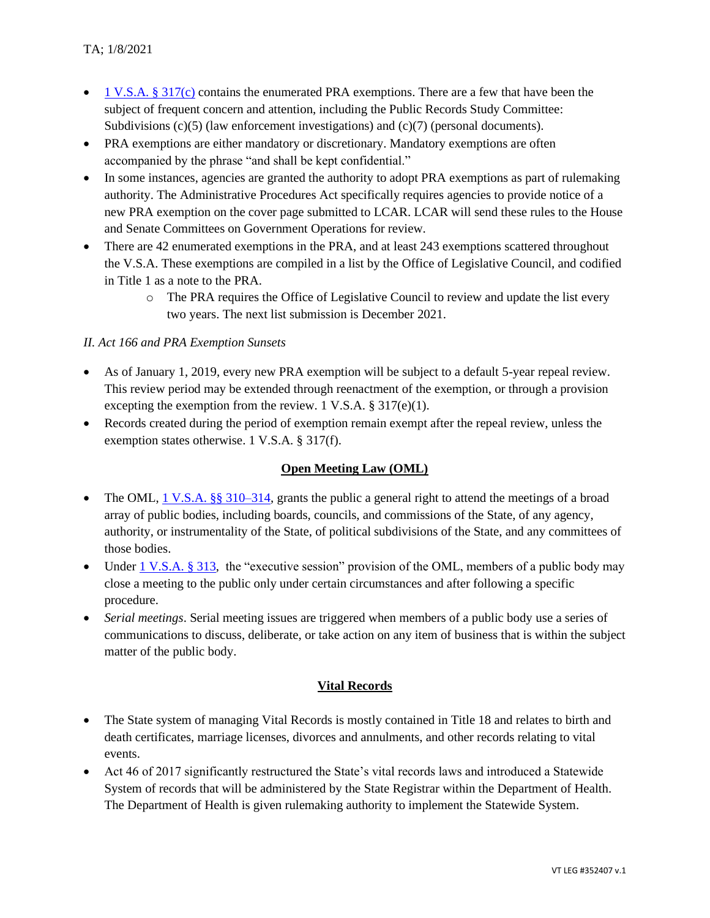- 1 V.S.A.  $\S 317(c)$  contains the enumerated PRA exemptions. There are a few that have been the subject of frequent concern and attention, including the Public Records Study Committee: Subdivisions  $(c)(5)$  (law enforcement investigations) and  $(c)(7)$  (personal documents).
- PRA exemptions are either mandatory or discretionary. Mandatory exemptions are often accompanied by the phrase "and shall be kept confidential."
- In some instances, agencies are granted the authority to adopt PRA exemptions as part of rulemaking authority. The Administrative Procedures Act specifically requires agencies to provide notice of a new PRA exemption on the cover page submitted to LCAR. LCAR will send these rules to the House and Senate Committees on Government Operations for review.
- There are 42 enumerated exemptions in the PRA, and at least 243 exemptions scattered throughout the V.S.A. These exemptions are compiled in a list by the Office of Legislative Council, and codified in Title 1 as a note to the PRA.
	- o The PRA requires the Office of Legislative Council to review and update the list every two years. The next list submission is December 2021.

## *II. Act 166 and PRA Exemption Sunsets*

- As of January 1, 2019, every new PRA exemption will be subject to a default 5-year repeal review. This review period may be extended through reenactment of the exemption, or through a provision excepting the exemption from the review. 1 V.S.A.  $\S 317(e)(1)$ .
- Records created during the period of exemption remain exempt after the repeal review, unless the exemption states otherwise. 1 V.S.A. § 317(f).

# **Open Meeting Law (OML)**

- The OML, [1 V.S.A. §§ 310–314,](https://legislature.vermont.gov/statutes/section/01/005/00312) grants the public a general right to attend the meetings of a broad array of public bodies, including boards, councils, and commissions of the State, of any agency, authority, or instrumentality of the State, of political subdivisions of the State, and any committees of those bodies.
- Under [1 V.S.A. § 313,](https://legislature.vermont.gov/statutes/section/01/005/00313) the "executive session" provision of the OML, members of a public body may close a meeting to the public only under certain circumstances and after following a specific procedure.
- *Serial meetings*. Serial meeting issues are triggered when members of a public body use a series of communications to discuss, deliberate, or take action on any item of business that is within the subject matter of the public body.

# **Vital Records**

- The State system of managing Vital Records is mostly contained in Title 18 and relates to birth and death certificates, marriage licenses, divorces and annulments, and other records relating to vital events.
- Act 46 of 2017 significantly restructured the State's vital records laws and introduced a Statewide System of records that will be administered by the State Registrar within the Department of Health. The Department of Health is given rulemaking authority to implement the Statewide System.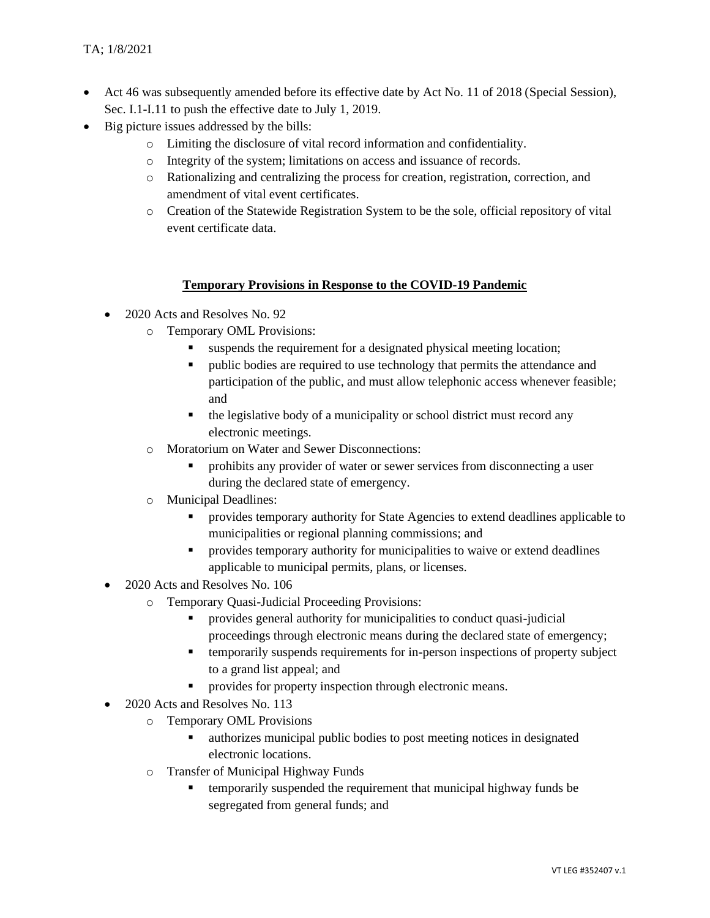- Act 46 was subsequently amended before its effective date by Act No. 11 of 2018 (Special Session), Sec. I.1-I.11 to push the effective date to July 1, 2019.
- Big picture issues addressed by the bills:
	- o Limiting the disclosure of vital record information and confidentiality.
	- o Integrity of the system; limitations on access and issuance of records.
	- o Rationalizing and centralizing the process for creation, registration, correction, and amendment of vital event certificates.
	- o Creation of the Statewide Registration System to be the sole, official repository of vital event certificate data.

#### **Temporary Provisions in Response to the COVID-19 Pandemic**

- 2020 Acts and Resolves No. 92
	- o Temporary OML Provisions:
		- suspends the requirement for a designated physical meeting location;
		- public bodies are required to use technology that permits the attendance and participation of the public, and must allow telephonic access whenever feasible; and
		- the legislative body of a municipality or school district must record any electronic meetings.
	- o Moratorium on Water and Sewer Disconnections:
		- prohibits any provider of water or sewer services from disconnecting a user during the declared state of emergency.
	- o Municipal Deadlines:
		- provides temporary authority for State Agencies to extend deadlines applicable to municipalities or regional planning commissions; and
		- **•** provides temporary authority for municipalities to waive or extend deadlines applicable to municipal permits, plans, or licenses.
- 2020 Acts and Resolves No. 106
	- o Temporary Quasi-Judicial Proceeding Provisions:
		- provides general authority for municipalities to conduct quasi-judicial proceedings through electronic means during the declared state of emergency;
		- temporarily suspends requirements for in-person inspections of property subject to a grand list appeal; and
		- provides for property inspection through electronic means.
- 2020 Acts and Resolves No. 113
	- o Temporary OML Provisions
		- authorizes municipal public bodies to post meeting notices in designated electronic locations.
	- o Transfer of Municipal Highway Funds
		- temporarily suspended the requirement that municipal highway funds be segregated from general funds; and